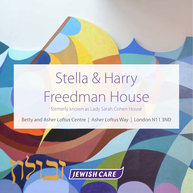# Stella & Harry Freedman House

formerly known as Lady Sarah Cohen House

Betty and Asher Loftus Centre | Asher Loftus Way | London N11 3ND

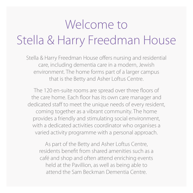## Welcome to Stella & Harry Freedman House

Stella & Harry Freedman House offers nursing and residential care, including dementia care in a modern, Jewish environment. The home forms part of a larger campus that is the Betty and Asher Loftus Centre.

The 120 en-suite rooms are spread over three floors of the care home. Each floor has its own care manager and dedicated staff to meet the unique needs of every resident, coming together as a vibrant community. The home provides a friendly and stimulating social environment, with a dedicated activities coordinator who organises a varied activity programme with a personal approach.

As part of the Betty and Asher Loftus Centre, residents benefit from shared amenities such as a café and shop and often attend enriching events held at the Pavillion, as well as being able to attend the Sam Beckman Dementia Centre.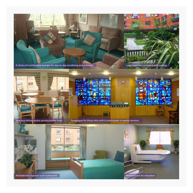